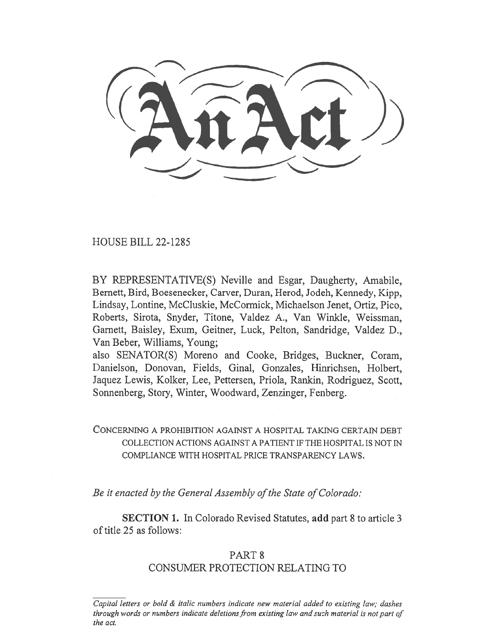HOUSE BILL 22-1285

BY REPRESENTATIVE(S) Neville and Esgar, Daugherty, Amabile, Bernett, Bird, Boesenecker, Carver, Duran, Herod, Jodeh, Kennedy, Kipp, Lindsay, Lontine, McCluskie, McCormick, Michaelson Jenet, Ortiz, Pico, Roberts, Sirota, Snyder, Titone, Valdez A., Van Winkle, Weissman, Garnett, Baisley, Exum, Geitner, Luck, Pelton, Sandridge, Valdez D., Van Beber, Williams, Young;

also SENATOR(S) Moreno and Cooke, Bridges, Buckner, Coram, Danielson, Donovan, Fields, Ginal, Gonzales, Hinrichsen, Holbert, Jaquez Lewis, Kolker, Lee, Pettersen, Priola, Rankin, Rodriguez, Scott, Sonnenberg, Story, Winter, Woodward, Zenzinger, Fenberg.

CONCERNING A PROHIBITION AGAINST A HOSPITAL TAKING CERTAIN DEBT COLLECTION ACTIONS AGAINST A PATIENT IF THE HOSPITAL IS NOT IN COMPLIANCE WITH HOSPITAL PRICE TRANSPARENCY LAWS.

Be it enacted by the General Assembly of the State of Colorado:

SECTION 1. In Colorado Revised Statutes, add part 8 to article 3 of title 25 as follows:

## PART 8

### CONSUMER PROTECTION RELATING TO

Capital letters or bold & italic numbers indicate new material added to existing law; dashes through words or numbers indicate deletions from existing law and such material is not part of the act.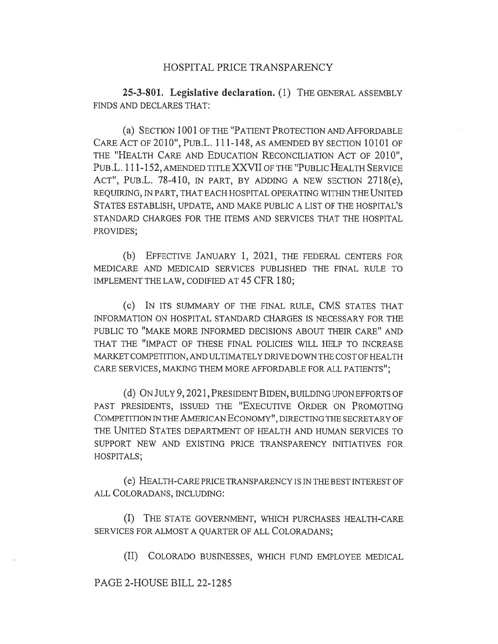#### HOSPITAL PRICE TRANSPARENCY

25-3-801. Legislative declaration. (1) THE GENERAL ASSEMBLY FINDS AND DECLARES THAT:

(a) SECTION 1001 OF THE "PATIENT PROTECTION AND AFFORDABLE CARE ACT OF 2010", PUB.L. 111-148, AS AMENDED BY SECTION 10101 OF THE "HEALTH CARE AND EDUCATION RECONCILIATION ACT OF 2010", PUBL. 111-152, AMENDED TITLE XXVII OF THE "PUBLIC HEALTH SERVICE ACT", PuB.L. 78-410, IN PART, BY ADDING A NEW SECTION 2718(e), REQUIRING, IN PART, THAT EACH HOSPITAL OPERATING WITHIN THE UNITED STATES ESTABLISH, UPDATE, AND MAKE PUBLIC A LIST OF THE HOSPITAL'S STANDARD CHARGES FOR THE ITEMS AND SERVICES THAT THE HOSPITAL PROVIDES;

(b) EFFECTIVE JANUARY 1, 2021, THE FEDERAL CENTERS FOR MEDICARE AND MEDICAID SERVICES PUBLISHED THE FINAL RULE TO IMPLEMENT THE LAW, CODIFIED AT 45 CFR 180;

(c) IN ITS SUMMARY OF THE FINAL RULE, CMS STATES THAT INFORMATION ON HOSPITAL STANDARD CHARGES IS NECESSARY FOR THE PUBLIC TO "MAKE MORE INFORMED DECISIONS ABOUT THEIR CARE" AND THAT THE "IMPACT OF THESE FINAL POLICIES WILL HELP TO INCREASE MARKET COMPETITION, AND ULTIMATELY DRIVE DOWN THE COST OF HEALTH CARE SERVICES, MAKING THEM MORE AFFORDABLE FOR ALL PATIENTS";

(d) ON JULY 9, 2021, PRESIDENT BIDEN, BUILDING UPON EFFORTS OF PAST PRESIDENTS, ISSUED THE "EXECUTIVE ORDER ON PROMOTING COMPETITION IN THE AMERICAN ECONOMY", DIRECTING THE SECRETARY OF THE UNITED STATES DEPARTMENT OF HEALTH AND HUMAN SERVICES TO SUPPORT NEW AND EXISTING PRICE TRANSPARENCY INITIATIVES FOR HOSPITALS;

(e) HEALTH-CARE PRICE TRANSPARENCY IS IN THE BEST INTEREST OF ALL COLORADANS, INCLUDING:

(I) THE STATE GOVERNMENT, WHICH PURCHASES HEALTH-CARE SERVICES FOR ALMOST A QUARTER OF ALL COLORADANS;

(II) COLORADO BUSINESSES, WHICH FUND EMPLOYEE MEDICAL

PAGE 2-HOUSE BILL 22-1285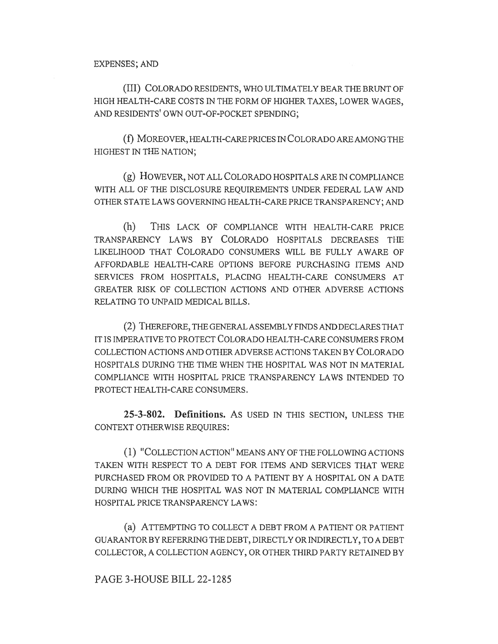(III) COLORADO RESIDENTS, WHO ULTIMATELY BEAR THE BRUNT OF HIGH HEALTH-CARE COSTS IN THE FORM OF HIGHER TAXES, LOWER WAGES, AND RESIDENTS' OWN OUT-OF-POCKET SPENDING;

(f) MOREOVER, HEALTH-CARE PRICES IN COLORADO ARE AMONG THE HIGHEST IN THE NATION;

(g) HOWEVER, NOT ALL COLORADO HOSPITALS ARE IN COMPLIANCE WITH ALL OF THE DISCLOSURE REQUIREMENTS UNDER FEDERAL LAW AND OTHER STATE LAWS GOVERNING HEALTH-CARE PRICE TRANSPARENCY; AND

(h) THIS LACK OF COMPLIANCE WITH HEALTH-CARE PRICE TRANSPARENCY LAWS BY COLORADO HOSPITALS DECREASES THE LIKELIHOOD THAT COLORADO CONSUMERS WILL BE FULLY AWARE OF AFFORDABLE HEALTH-CARE OPTIONS BEFORE PURCHASING ITEMS AND SERVICES FROM HOSPITALS, PLACING HEALTH-CARE CONSUMERS AT GREATER RISK OF COLLECTION ACTIONS AND OTHER ADVERSE ACTIONS RELATING TO UNPAID MEDICAL BILLS.

(2) THEREFORE, THE GENERAL ASSEMBLY FINDS AND DECLARES THAT IT IS IMPERATIVE TO PROTECT COLORADO HEALTH-CARE CONSUMERS FROM COLLECTION ACTIONS AND OTHER ADVERSE ACTIONS TAKEN BY COLORADO HOSPITALS DURING THE TIME WHEN THE HOSPITAL WAS NOT IN MATERIAL COMPLIANCE WITH HOSPITAL PRICE TRANSPARENCY LAWS INTENDED TO PROTECT HEALTH-CARE CONSUMERS.

25-3-802. Definitions. AS USED IN THIS SECTION, UNLESS THE CONTEXT OTHERWISE REQUIRES:

(1) "COLLECTION ACTION" MEANS ANY OF THE FOLLOWING ACTIONS TAKEN WITH RESPECT TO A DEBT FOR ITEMS AND SERVICES THAT WERE PURCHASED FROM OR PROVIDED TO A PATIENT BY A HOSPITAL ON A DATE DURING WHICH THE HOSPITAL WAS NOT IN MATERIAL COMPLIANCE WITH HOSPITAL PRICE TRANSPARENCY LAWS:

(a) ATTEMPTING TO COLLECT A DEBT FROM A PATIENT OR PATIENT GUARANTOR BY REFERRING THE DEBT, DIRECTLY OR INDIRECTLY, TO A DEBT COLLECTOR, A COLLECTION AGENCY, OR OTHER THIRD PARTY RETAINED BY

#### PAGE 3-HOUSE BILL 22-1285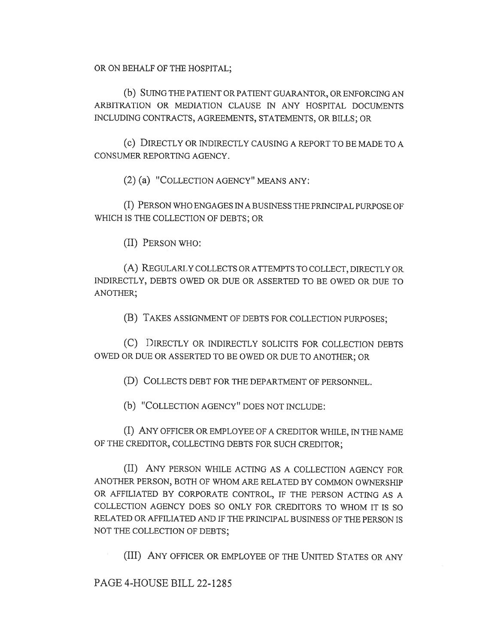OR ON BEHALF OF THE HOSPITAL;

(b) SUING THE PATIENT OR PATIENT GUARANTOR, OR ENFORCING AN ARBITRATION OR MEDIATION CLAUSE IN ANY HOSPITAL DOCUMENTS INCLUDING CONTRACTS, AGREEMENTS, STATEMENTS, OR BILLS; OR

(c) DIRECTLY OR INDIRECTLY CAUSING A REPORT TO BE MADE TO A CONSUMER REPORTING AGENCY.

(2) (a) "COLLECTION AGENCY" MEANS ANY:

(I) PERSON WHO ENGAGES IN A BUSINESS THE PRINCIPAL PURPOSE OF WHICH IS THE COLLECTION OF DEBTS; OR

(II) PERSON WHO:

(A) REGULARLY COLLECTS OR ATTEMPTS TO COLLECT, DIRECTLY OR INDIRECTLY, DEBTS OWED OR DUE OR ASSERTED TO BE OWED OR DUE TO ANOTHER;

(B) TAKES ASSIGNMENT OF DEBTS FOR COLLECTION PURPOSES;

(C) DIRECTLY OR INDIRECTLY SOLICITS FOR COLLECTION DEBTS OWED OR DUE OR ASSERTED TO BE OWED OR DUE TO ANOTHER; OR

(D) COLLECTS DEBT FOR THE DEPARTMENT OF PERSONNEL.

(b) "COLLECTION AGENCY" DOES NOT INCLUDE:

(I) ANY OFFICER OR EMPLOYEE OF A CREDITOR WHILE, IN THE NAME OF THE CREDITOR, COLLECTING DEBTS FOR SUCH CREDITOR;

(II) ANY PERSON WHILE ACTING AS A COLLECTION AGENCY FOR ANOTHER PERSON, BOTH OF WHOM ARE RELATED BY COMMON OWNERSHIP OR AFFILIATED BY CORPORATE CONTROL, IF THE PERSON ACTING AS A COLLECTION AGENCY DOES SO ONLY FOR CREDITORS TO WHOM IT IS SO RELATED OR AFFILIATED AND IF THE PRINCIPAL BUSINESS OF THE PERSON IS NOT THE COLLECTION OF DEBTS;

(III) ANY OFFICER OR EMPLOYEE OF THE UNITED STATES OR ANY

PAGE 4-HOUSE BILL 22-1285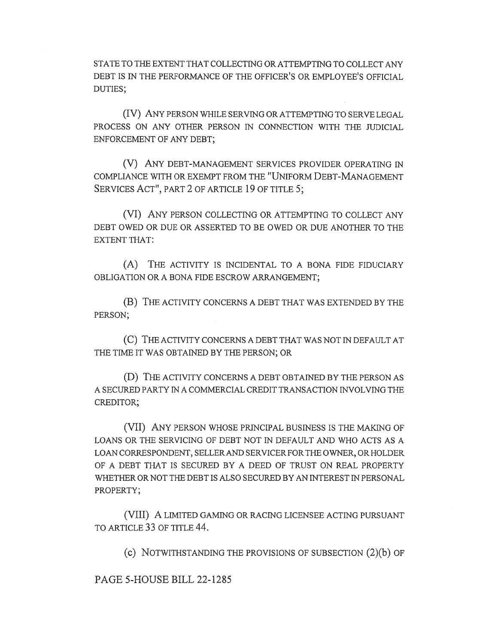STATE TO THE EXTENT THAT COLLECTING OR ATTEMPTING TO COLLECT ANY DEBT IS IN THE PERFORMANCE OF THE OFFICER'S OR EMPLOYEE'S OFFICIAL DUTIES;

(IV) ANY PERSON WHILE SERVING OR ATTEMPTING TO SERVE LEGAL PROCESS ON ANY OTHER PERSON IN CONNECTION WITH THE JUDICIAL ENFORCEMENT OF ANY DEBT;

(V) ANY DEBT-MANAGEMENT SERVICES PROVIDER OPERATING IN COMPLIANCE WITH OR EXEMPT FROM THE "UNIFORM DEBT-MANAGEMENT SERVICES ACT", PART 2 OF ARTICLE 19 OF TITLE 5;

(VI) ANY PERSON COLLECTING OR ATTEMPTING TO COLLECT ANY DEBT OWED OR DUE OR ASSERTED TO BE OWED OR DUE ANOTHER TO THE EXTENT THAT:

(A) THE ACTIVITY IS INCIDENTAL TO A BONA FIDE FIDUCIARY OBLIGATION OR A BONA FIDE ESCROW ARRANGEMENT;

(B) THE ACTIVITY CONCERNS A DEBT THAT WAS EXTENDED BY THE PERSON;

(C) THE ACTIVITY CONCERNS A DEBT THAT WAS NOT IN DEFAULT AT THE TIME IT WAS OBTAINED BY THE PERSON; OR

(D) THE ACTIVITY CONCERNS A DEBT OBTAINED BY THE PERSON AS A SECURED PARTY IN A COMMERCIAL CREDIT TRANSACTION INVOLVING THE CREDITOR;

(VII) ANY PERSON WHOSE PRINCIPAL BUSINESS IS THE MAKING OF LOANS OR THE SERVICING OF DEBT NOT IN DEFAULT AND WHO ACTS AS A LOAN CORRESPONDENT, SELLER AND SERVICER FOR THE OWNER, OR HOLDER OF A DEBT THAT IS SECURED BY A DEED OF TRUST ON REAL PROPERTY WHETHER OR NOT THE DEBT IS ALSO SECURED BY AN INTEREST IN PERSONAL PROPERTY;

(VIII) A LIMITED GAMING OR RACING LICENSEE ACTING PURSUANT TO ARTICLE 33 OF TITLE 44.

(c) NOTWITHSTANDING THE PROVISIONS OF SUBSECTION (2)(b) OF

PAGE 5-HOUSE BILL 22-1285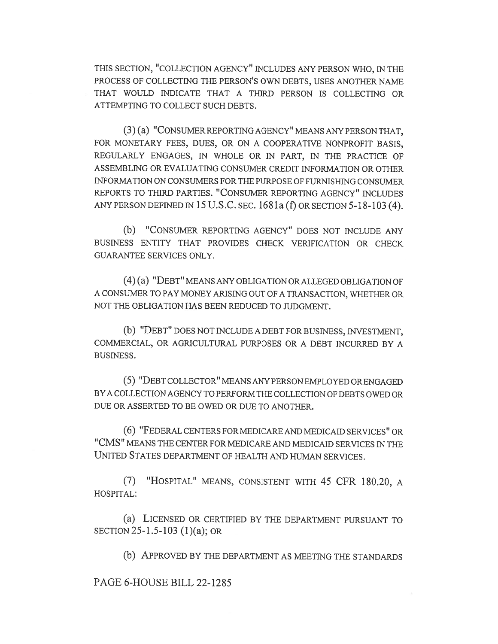THIS SECTION, "COLLECTION AGENCY" INCLUDES ANY PERSON WHO, IN THE PROCESS OF COLLECTING THE PERSON'S OWN DEBTS, USES ANOTHER NAME THAT WOULD INDICATE THAT A THIRD PERSON IS COLLECTING OR ATTEMPTING TO COLLECT SUCH DEBTS.

(3) (a) "CONSUMER REPORTING AGENCY" MEANS ANY PERSON THAT, FOR MONETARY FEES, DUES, OR ON A COOPERATIVE NONPROFIT BASIS, REGULARLY ENGAGES, IN WHOLE OR IN PART, IN THE PRACTICE OF ASSEMBLING OR EVALUATING CONSUMER CREDIT INFORMATION OR OTHER INFORMATION ON CONSUMERS FOR THE PURPOSE OF FURNISHING CONSUMER REPORTS TO THIRD PARTIES. "CONSUMER REPORTING AGENCY" INCLUDES ANY PERSON DEFINED IN 15 U.S.C. SEC. 1681a (f) OR SECTION 5-18-103 (4).

(b) "CONSUMER REPORTING AGENCY" DOES NOT INCLUDE ANY BUSINESS ENTITY THAT PROVIDES CHECK VERIFICATION OR CHECK GUARANTEE SERVICES ONLY.

(4) (a) "DEBT" MEANS ANY OBLIGATION OR ALLEGED OBLIGATION OF A CONSUMER TO PAY MONEY ARISING OUT OF A TRANSACTION, WHETHER OR NOT THE OBLIGATION HAS BEEN REDUCED TO JUDGMENT.

(b) "DEBT" DOES NOT INCLUDE A DEBT FOR BUSINESS, INVESTMENT, COMMERCIAL, OR AGRICULTURAL PURPOSES OR A DEBT INCURRED BY A BUSINESS.

(5) "DEBT COLLECTOR" MEANS ANY PERSON EMPLOYED OR ENGAGED BY A COLLECTION AGENCY TO PERFORM THE COLLECTION OF DEBTS OWED OR DUE OR ASSERTED TO BE OWED OR DUE TO ANOTHER.

(6) "FEDERAL CENTERS FOR MEDICARE AND MEDICAID SERVICES" OR "CMS" MEANS THE CENTER FOR MEDICARE AND MEDICAID SERVICES IN THE UNITED STATES DEPARTMENT OF HEALTH AND HUMAN SERVICES.

(7) "HOSPITAL" MEANS, CONSISTENT WITH 45 CFR 180.20, A HOSPITAL:

(a) LICENSED OR CERTIFIED BY THE DEPARTMENT PURSUANT TO SECTION 25-1.5-103 (1)(a); OR

(b) APPROVED BY THE DEPARTMENT AS MEETING THE STANDARDS

PAGE 6-HOUSE BILL 22-1285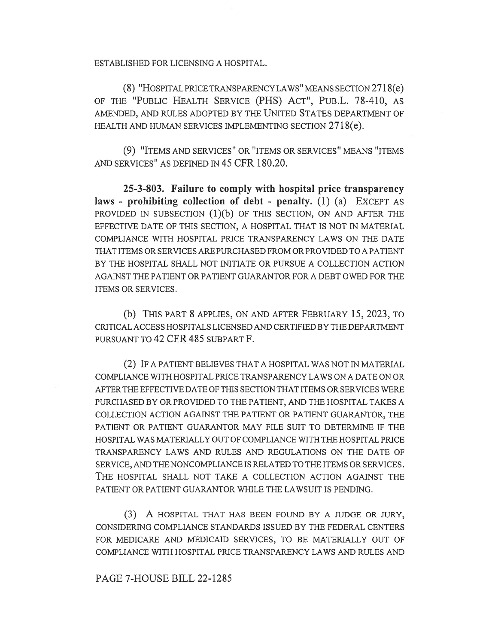ESTABLISHED FOR LICENSING A HOSPITAL.

(8) "HOSPITAL PRICE TRANSPARENCY LAWS" MEANS SECTION 2718(e) OF THE "PUBLIC HEALTH SERVICE (PHS) ACT", PuB.L. 78-410, AS AMENDED, AND RULES ADOPTED BY THE UNITED STATES DEPARTMENT OF HEALTH AND HUMAN SERVICES IMPLEMENTING SECTION 2718(e).

(9) "ITEMS AND SERVICES" OR "ITEMS OR SERVICES" MEANS "ITEMS AND SERVICES" AS DEFINED IN 45 CFR 180.20.

25-3-803. Failure to comply with hospital price transparency laws - prohibiting collection of debt - penalty. (1) (a) EXCEPT AS PROVIDED IN SUBSECTION  $(1)(b)$  OF THIS SECTION, ON AND AFTER THE EFFECTIVE DATE OF THIS SECTION, A HOSPITAL THAT IS NOT IN MATERIAL COMPLIANCE WITH HOSPITAL PRICE TRANSPARENCY LAWS ON THE DATE THAT ITEMS OR SERVICES ARE PURCHASED FROM OR PROVIDED TO A PATIENT BY THE HOSPITAL SHALL NOT INITIATE OR PURSUE A COLLECTION ACTION AGAINST THE PATIENT OR PATIENT GUARANTOR FOR A DEBT OWED FOR THE ITEMS OR SERVICES.

(b) THIS PART 8 APPLIES, ON AND AFTER FEBRUARY 15, 2023, TO CRITICAL ACCESS HOSPITALS LICENSED AND CERTIFIED BY THE DEPARTMENT PURSUANT TO 42 CFR 485 SUBPART F.

(2) IF A PATIENT BELIEVES THAT A HOSPITAL WAS NOT IN MATERIAL COMPLIANCE WITH HOSPITAL PRICE TRANSPARENCY LAWS ON A DATE ON OR AFTER THE EFFECTIVE DATE OF THIS SECTION THAT ITEMS OR SERVICES WERE PURCHASED BY OR PROVIDED TO THE PATIENT, AND THE HOSPITAL TAKES A COLLECTION ACTION AGAINST THE PATIENT OR PATIENT GUARANTOR, THE PATIENT OR PATIENT GUARANTOR MAY FILE SUIT TO DETERMINE IF THE HOSPITAL WAS MATERIALLY OUT OF COMPLIANCE WITH THE HOSPITAL PRICE TRANSPARENCY LAWS AND RULES AND REGULATIONS ON THE DATE OF SERVICE, AND THE NONCOMPLIANCE IS RELATED TO THE ITEMS OR SERVICES. THE HOSPITAL SHALL NOT TAKE A COLLECTION ACTION AGAINST THE PATIENT OR PATIENT GUARANTOR WHILE THE LAWSUIT IS PENDING.

(3) A HOSPITAL THAT HAS BEEN FOUND BY A JUDGE OR JURY, CONSIDERING COMPLIANCE STANDARDS ISSUED BY THE FEDERAL CENTERS FOR MEDICARE AND MEDICAID SERVICES, TO BE MATERIALLY OUT OF COMPLIANCE WITH HOSPITAL PRICE TRANSPARENCY LAWS AND RULES AND

PAGE 7-HOUSE BILL 22-1285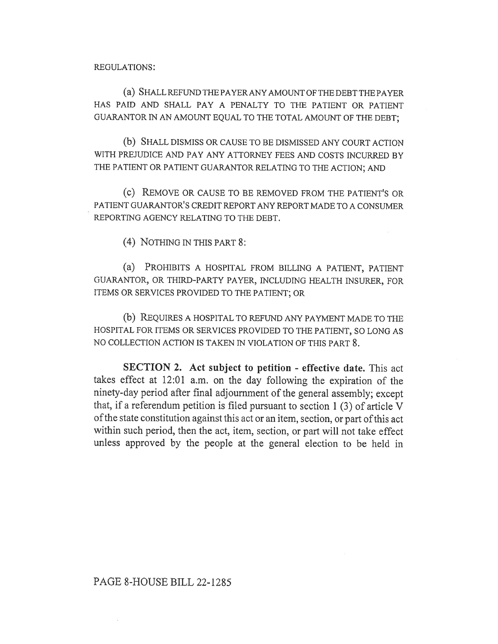REGULATIONS:

(a) SHALL REFUND THE PAYER ANY AMOUNT OF THE DEBT THE PAYER HAS PAID AND SHALL PAY A PENALTY TO THE PATIENT OR PATIENT GUARANTOR IN AN AMOUNT EQUAL TO THE TOTAL AMOUNT OF THE DEBT;

(b) SHALL DISMISS OR CAUSE TO BE DISMISSED ANY COURT ACTION WITH PREJUDICE AND PAY ANY ATTORNEY FEES AND COSTS INCURRED BY THE PATIENT OR PATIENT GUARANTOR RELATING TO THE ACTION; AND

(c) REMOVE OR CAUSE TO BE REMOVED FROM THE PATIENT'S OR PATIENT GUARANTOR'S CREDIT REPORT ANY REPORT MADE TO A CONSUMER REPORTING AGENCY RELATING TO THE DEBT.

(4) NOTHING IN THIS PART 8:

(a) PROHIBITS A HOSPITAL FROM BILLING A PATIENT, PATIENT GUARANTOR, OR THIRD-PARTY PAYER, INCLUDING HEALTH INSURER, FOR ITEMS OR SERVICES PROVIDED TO THE PATIENT; OR

(b) REQUIRES A HOSPITAL TO REFUND ANY PAYMENT MADE TO THE HOSPITAL FOR ITEMS OR SERVICES PROVIDED TO THE PATIENT, SO LONG AS NO COLLECTION ACTION IS TAKEN IN VIOLATION OF THIS PART 8.

SECTION 2. Act subject to petition - effective date. This act takes effect at 12:01 a.m. on the day following the expiration of the ninety-day period after final adjournment of the general assembly; except that, if a referendum petition is filed pursuant to section 1 (3) of article V of the state constitution against this act or an item, section, or part of this act within such period, then the act, item, section, or part will not take effect unless approved by the people at the general election to be held in

# PAGE 8-HOUSE BILL 22-1285